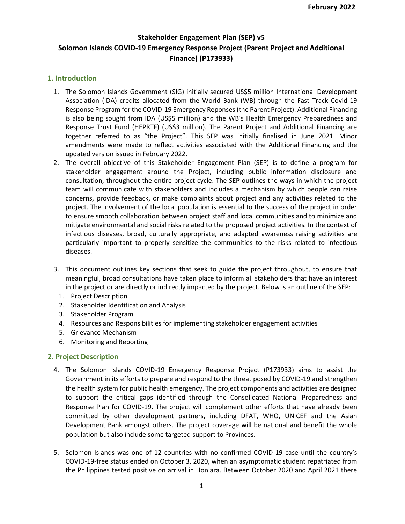# **Stakeholder Engagement Plan (SEP) v5 Solomon Islands COVID-19 Emergency Response Project (Parent Project and Additional Finance) (P173933)**

### **1. Introduction**

- 1. The Solomon Islands Government (SIG) initially secured US\$5 million International Development Association (IDA) credits allocated from the World Bank (WB) through the Fast Track Covid-19 Response Program for the COVID-19 Emergency Reponses (the Parent Project). Additional Financing is also being sought from IDA (US\$5 million) and the WB's Health Emergency Preparedness and Response Trust Fund (HEPRTF) (US\$3 million). The Parent Project and Additional Financing are together referred to as "the Project". This SEP was initially finalised in June 2021. Minor amendments were made to reflect activities associated with the Additional Financing and the updated version issued in February 2022.
- 2. The overall objective of this Stakeholder Engagement Plan (SEP) is to define a program for stakeholder engagement around the Project, including public information disclosure and consultation, throughout the entire project cycle. The SEP outlines the ways in which the project team will communicate with stakeholders and includes a mechanism by which people can raise concerns, provide feedback, or make complaints about project and any activities related to the project. The involvement of the local population is essential to the success of the project in order to ensure smooth collaboration between project staff and local communities and to minimize and mitigate environmental and social risks related to the proposed project activities. In the context of infectious diseases, broad, culturally appropriate, and adapted awareness raising activities are particularly important to properly sensitize the communities to the risks related to infectious diseases.
- 3. This document outlines key sections that seek to guide the project throughout, to ensure that meaningful, broad consultations have taken place to inform all stakeholders that have an interest in the project or are directly or indirectly impacted by the project. Below is an outline of the SEP:
	- 1. Project Description
	- 2. Stakeholder Identification and Analysis
	- 3. Stakeholder Program
	- 4. Resources and Responsibilities for implementing stakeholder engagement activities
	- 5. Grievance Mechanism
	- 6. Monitoring and Reporting

### **2. Project Description**

- 4. The Solomon Islands COVID-19 Emergency Response Project (P173933) aims to assist the Government in its efforts to prepare and respond to the threat posed by COVID-19 and strengthen the health system for public health emergency. The project components and activities are designed to support the critical gaps identified through the Consolidated National Preparedness and Response Plan for COVID-19. The project will complement other efforts that have already been committed by other development partners, including DFAT, WHO, UNICEF and the Asian Development Bank amongst others. The project coverage will be national and benefit the whole population but also include some targeted support to Provinces.
- 5. Solomon Islands was one of 12 countries with no confirmed COVID-19 case until the country's COVID-19-free status ended on October 3, 2020, when an asymptomatic student repatriated from the Philippines tested positive on arrival in Honiara. Between October 2020 and April 2021 there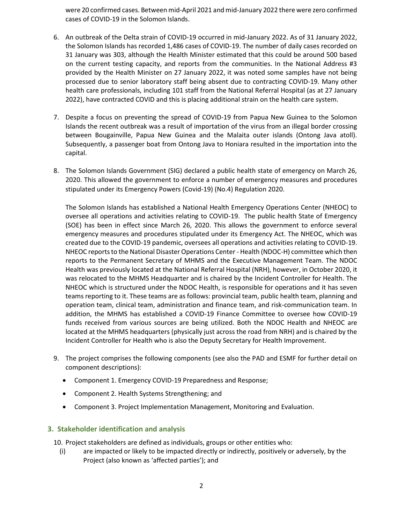were 20 confirmed cases. Between mid-April 2021 and mid-January 2022 there were zero confirmed cases of COVID-19 in the Solomon Islands.

- 6. An outbreak of the Delta strain of COVID-19 occurred in mid-January 2022. As of 31 January 2022, the Solomon Islands has recorded 1,486 cases of COVID-19. The number of daily cases recorded on 31 January was 303, although the Health Minister estimated that this could be around 500 based on the current testing capacity, and reports from the communities. In the National Address #3 provided by the Health Minister on 27 January 2022, it was noted some samples have not being processed due to senior laboratory staff being absent due to contracting COVID-19. Many other health care professionals, including 101 staff from the National Referral Hospital (as at 27 January 2022), have contracted COVID and this is placing additional strain on the health care system.
- 7. Despite a focus on preventing the spread of COVID-19 from Papua New Guinea to the Solomon Islands the recent outbreak was a result of importation of the virus from an illegal border crossing between Bougainville, Papua New Guinea and the Malaita outer islands (Ontong Java atoll). Subsequently, a passenger boat from Ontong Java to Honiara resulted in the importation into the capital.
- 8. The Solomon Islands Government (SIG) declared a public health state of emergency on March 26, 2020. This allowed the government to enforce a number of emergency measures and procedures stipulated under its Emergency Powers (Covid-19) (No.4) Regulation 2020.

The Solomon Islands has established a National Health Emergency Operations Center (NHEOC) to oversee all operations and activities relating to COVID-19. The public health State of Emergency (SOE) has been in effect since March 26, 2020. This allows the government to enforce several emergency measures and procedures stipulated under its Emergency Act. The NHEOC, which was created due to the COVID-19 pandemic, oversees all operations and activities relating to COVID-19. NHEOC reports to the National Disaster Operations Center - Health (NDOC-H) committee which then reports to the Permanent Secretary of MHMS and the Executive Management Team. The NDOC Health was previously located at the National Referral Hospital (NRH), however, in October 2020, it was relocated to the MHMS Headquarter and is chaired by the Incident Controller for Health. The NHEOC which is structured under the NDOC Health, is responsible for operations and it has seven teams reporting to it. These teams are as follows: provincial team, public health team, planning and operation team, clinical team, administration and finance team, and risk-communication team. In addition, the MHMS has established a COVID-19 Finance Committee to oversee how COVID-19 funds received from various sources are being utilized. Both the NDOC Health and NHEOC are located at the MHMS headquarters (physically just across the road from NRH) and is chaired by the Incident Controller for Health who is also the Deputy Secretary for Health Improvement.

- 9. The project comprises the following components (see also the PAD and ESMF for further detail on component descriptions):
	- Component 1. Emergency COVID-19 Preparedness and Response;
	- Component 2. Health Systems Strengthening; and
	- Component 3. Project Implementation Management, Monitoring and Evaluation.

### **3. Stakeholder identification and analysis**

10. Project stakeholders are defined as individuals, groups or other entities who:

(i) are impacted or likely to be impacted directly or indirectly, positively or adversely, by the Project (also known as 'affected parties'); and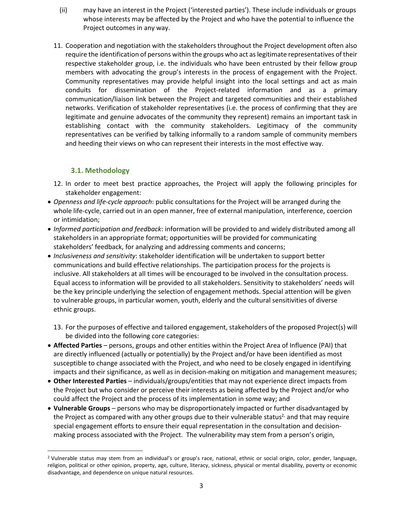- (ii) may have an interest in the Project ('interested parties'). These include individuals or groups whose interests may be affected by the Project and who have the potential to influence the Project outcomes in any way.
- 11. Cooperation and negotiation with the stakeholders throughout the Project development often also require the identification of persons within the groups who act as legitimate representatives of their respective stakeholder group, i.e. the individuals who have been entrusted by their fellow group members with advocating the group's interests in the process of engagement with the Project. Community representatives may provide helpful insight into the local settings and act as main conduits for dissemination of the Project-related information and as a primary communication/liaison link between the Project and targeted communities and their established networks. Verification of stakeholder representatives (i.e. the process of confirming that they are legitimate and genuine advocates of the community they represent) remains an important task in establishing contact with the community stakeholders. Legitimacy of the community representatives can be verified by talking informally to a random sample of community members and heeding their views on who can represent their interests in the most effective way.

# **3.1. Methodology**

- 12. In order to meet best practice approaches, the Project will apply the following principles for stakeholder engagement:
- *Openness and life-cycle approach*: public consultations for the Project will be arranged during the whole life-cycle, carried out in an open manner, free of external manipulation, interference, coercion or intimidation;
- *Informed participation and feedback*: information will be provided to and widely distributed among all stakeholders in an appropriate format; opportunities will be provided for communicating stakeholders' feedback, for analyzing and addressing comments and concerns;
- *Inclusiveness and sensitivity*: stakeholder identification will be undertaken to support better communications and build effective relationships. The participation process for the projects is inclusive. All stakeholders at all times will be encouraged to be involved in the consultation process. Equal access to information will be provided to all stakeholders. Sensitivity to stakeholders' needs will be the key principle underlying the selection of engagement methods. Special attention will be given to vulnerable groups, in particular women, youth, elderly and the cultural sensitivities of diverse ethnic groups.
	- 13. For the purposes of effective and tailored engagement, stakeholders of the proposed Project(s) will be divided into the following core categories:
- **Affected Parties** persons, groups and other entities within the Project Area of Influence (PAI) that are directly influenced (actually or potentially) by the Project and/or have been identified as most susceptible to change associated with the Project, and who need to be closely engaged in identifying impacts and their significance, as well as in decision-making on mitigation and management measures;
- **Other Interested Parties** individuals/groups/entities that may not experience direct impacts from the Project but who consider or perceive their interests as being affected by the Project and/or who could affect the Project and the process of its implementation in some way; and
- **Vulnerable Groups** persons who may be disproportionately impacted or further disadvantaged by the Project as compared with any other groups due to their vulnerable status<sup>2</sup>, and that may require special engagement efforts to ensure their equal representation in the consultation and decisionmaking process associated with the Project. The vulnerability may stem from a person's origin,

<sup>2</sup> Vulnerable status may stem from an individual's or group's race, national, ethnic or social origin, color, gender, language, religion, political or other opinion, property, age, culture, literacy, sickness, physical or mental disability, poverty or economic disadvantage, and dependence on unique natural resources.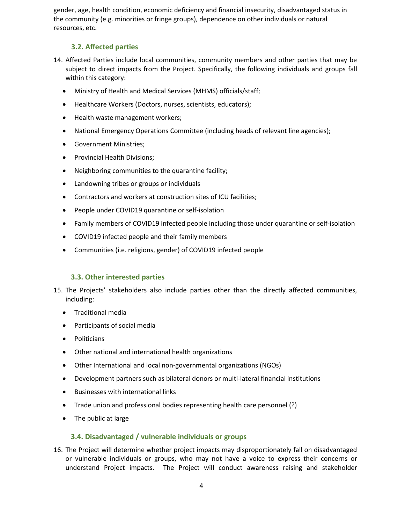gender, age, health condition, economic deficiency and financial insecurity, disadvantaged status in the community (e.g. minorities or fringe groups), dependence on other individuals or natural resources, etc.

# **3.2. Affected parties**

- 14. Affected Parties include local communities, community members and other parties that may be subject to direct impacts from the Project. Specifically, the following individuals and groups fall within this category:
	- Ministry of Health and Medical Services (MHMS) officials/staff;
	- Healthcare Workers (Doctors, nurses, scientists, educators);
	- Health waste management workers;
	- National Emergency Operations Committee (including heads of relevant line agencies);
	- Government Ministries;
	- Provincial Health Divisions;
	- Neighboring communities to the quarantine facility;
	- Landowning tribes or groups or individuals
	- Contractors and workers at construction sites of ICU facilities;
	- People under COVID19 quarantine or self-isolation
	- Family members of COVID19 infected people including those under quarantine or self-isolation
	- COVID19 infected people and their family members
	- Communities (i.e. religions, gender) of COVID19 infected people

### **3.3. Other interested parties**

- 15. The Projects' stakeholders also include parties other than the directly affected communities, including:
	- Traditional media
	- Participants of social media
	- Politicians
	- Other national and international health organizations
	- Other International and local non-governmental organizations (NGOs)
	- Development partners such as bilateral donors or multi-lateral financial institutions
	- Businesses with international links
	- Trade union and professional bodies representing health care personnel (?)
	- The public at large

#### **3.4. Disadvantaged / vulnerable individuals or groups**

16. The Project will determine whether project impacts may disproportionately fall on disadvantaged or vulnerable individuals or groups, who may not have a voice to express their concerns or understand Project impacts. The Project will conduct awareness raising and stakeholder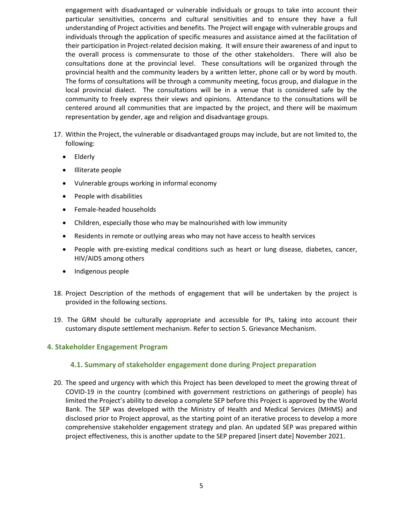engagement with disadvantaged or vulnerable individuals or groups to take into account their particular sensitivities, concerns and cultural sensitivities and to ensure they have a full understanding of Project activities and benefits. The Project will engage with vulnerable groups and individuals through the application of specific measures and assistance aimed at the facilitation of their participation in Project-related decision making. It will ensure their awareness of and input to the overall process is commensurate to those of the other stakeholders. There will also be consultations done at the provincial level. These consultations will be organized through the provincial health and the community leaders by a written letter, phone call or by word by mouth. The forms of consultations will be through a community meeting, focus group, and dialogue in the local provincial dialect. The consultations will be in a venue that is considered safe by the community to freely express their views and opinions. Attendance to the consultations will be centered around all communities that are impacted by the project, and there will be maximum representation by gender, age and religion and disadvantage groups.

- 17. Within the Project, the vulnerable or disadvantaged groups may include, but are not limited to, the following:
	- Elderly
	- Illiterate people
	- Vulnerable groups working in informal economy
	- People with disabilities
	- Female-headed households
	- Children, especially those who may be malnourished with low immunity
	- Residents in remote or outlying areas who may not have access to health services
	- People with pre-existing medical conditions such as heart or lung disease, diabetes, cancer, HIV/AIDS among others
	- Indigenous people
- 18. Project Description of the methods of engagement that will be undertaken by the project is provided in the following sections.
- 19. The GRM should be culturally appropriate and accessible for IPs, taking into account their customary dispute settlement mechanism. Refer to section 5. Grievance Mechanism.

#### **4. Stakeholder Engagement Program**

### **4.1. Summary of stakeholder engagement done during Project preparation**

20. The speed and urgency with which this Project has been developed to meet the growing threat of COVID-19 in the country (combined with government restrictions on gatherings of people) has limited the Project's ability to develop a complete SEP before this Project is approved by the World Bank. The SEP was developed with the Ministry of Health and Medical Services (MHMS) and disclosed prior to Project approval, as the starting point of an iterative process to develop a more comprehensive stakeholder engagement strategy and plan. An updated SEP was prepared within project effectiveness, this is another update to the SEP prepared [insert date] November 2021.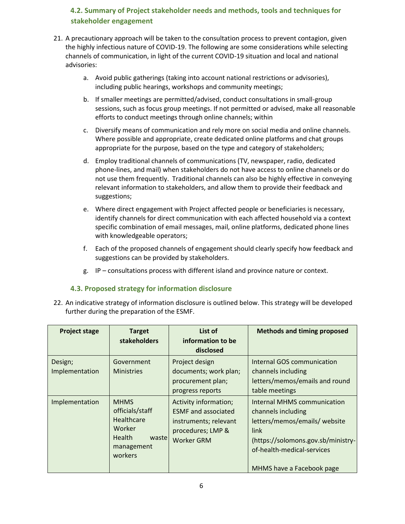# **4.2. Summary of Project stakeholder needs and methods, tools and techniques for stakeholder engagement**

- 21. A precautionary approach will be taken to the consultation process to prevent contagion, given the highly infectious nature of COVID-19. The following are some considerations while selecting channels of communication, in light of the current COVID-19 situation and local and national advisories:
	- a. Avoid public gatherings (taking into account national restrictions or advisories), including public hearings, workshops and community meetings;
	- b. If smaller meetings are permitted/advised, conduct consultations in small-group sessions, such as focus group meetings. If not permitted or advised, make all reasonable efforts to conduct meetings through online channels; within
	- c. Diversify means of communication and rely more on social media and online channels. Where possible and appropriate, create dedicated online platforms and chat groups appropriate for the purpose, based on the type and category of stakeholders;
	- d. Employ traditional channels of communications (TV, newspaper, radio, dedicated phone-lines, and mail) when stakeholders do not have access to online channels or do not use them frequently. Traditional channels can also be highly effective in conveying relevant information to stakeholders, and allow them to provide their feedback and suggestions;
	- e. Where direct engagement with Project affected people or beneficiaries is necessary, identify channels for direct communication with each affected household via a context specific combination of email messages, mail, online platforms, dedicated phone lines with knowledgeable operators;
	- f. Each of the proposed channels of engagement should clearly specify how feedback and suggestions can be provided by stakeholders.
	- g. IP consultations process with different island and province nature or context.

### **4.3. Proposed strategy for information disclosure**

22. An indicative strategy of information disclosure is outlined below. This strategy will be developed further during the preparation of the ESMF.

| <b>Project stage</b>      | <b>Target</b><br>stakeholders                                                                              | List of<br>information to be<br>disclosed                                                                              | <b>Methods and timing proposed</b>                                                                                                                                                          |
|---------------------------|------------------------------------------------------------------------------------------------------------|------------------------------------------------------------------------------------------------------------------------|---------------------------------------------------------------------------------------------------------------------------------------------------------------------------------------------|
| Design;<br>Implementation | Government<br><b>Ministries</b>                                                                            | Project design<br>documents; work plan;<br>procurement plan;<br>progress reports                                       | <b>Internal GOS communication</b><br>channels including<br>letters/memos/emails and round<br>table meetings                                                                                 |
| Implementation            | <b>MHMS</b><br>officials/staff<br>Healthcare<br>Worker<br><b>Health</b><br>wastel<br>management<br>workers | Activity information;<br><b>ESMF</b> and associated<br>instruments; relevant<br>procedures; LMP &<br><b>Worker GRM</b> | Internal MHMS communication<br>channels including<br>letters/memos/emails/ website<br>link<br>(https://solomons.gov.sb/ministry-<br>of-health-medical-services<br>MHMS have a Facebook page |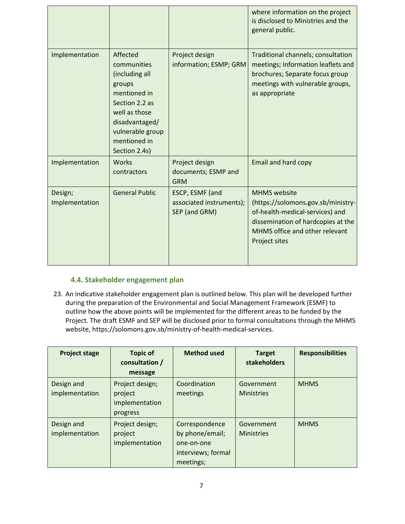|                           |                                                                                                                                                                               |                                                              | where information on the project<br>is disclosed to Ministries and the<br>general public.                                                                                             |
|---------------------------|-------------------------------------------------------------------------------------------------------------------------------------------------------------------------------|--------------------------------------------------------------|---------------------------------------------------------------------------------------------------------------------------------------------------------------------------------------|
| Implementation            | Affected<br>communities<br>(including all<br>groups<br>mentioned in<br>Section 2.2 as<br>well as those<br>disadvantaged/<br>vulnerable group<br>mentioned in<br>Section 2.4s) | Project design<br>information; ESMP; GRM                     | Traditional channels; consultation<br>meetings; Information leaflets and<br>brochures; Separate focus group<br>meetings with vulnerable groups,<br>as appropriate                     |
| Implementation            | <b>Works</b><br>contractors                                                                                                                                                   | Project design<br>documents; ESMP and<br><b>GRM</b>          | Email and hard copy                                                                                                                                                                   |
| Design;<br>Implementation | <b>General Public</b>                                                                                                                                                         | ESCP, ESMF (and<br>associated instruments);<br>SEP (and GRM) | <b>MHMS</b> website<br>(https://solomons.gov.sb/ministry-<br>of-health-medical-services) and<br>dissemination of hardcopies at the<br>MHMS office and other relevant<br>Project sites |

### **4.4. Stakeholder engagement plan**

23. An indicative stakeholder engagement plan is outlined below. This plan will be developed further during the preparation of the Environmental and Social Management Framework (ESMF) to outline how the above points will be implemented for the different areas to be funded by the Project. The draft ESMF and SEP will be disclosed prior to formal consultations through the MHMS website, https://solomons.gov.sb/ministry-of-health-medical-services.

| <b>Project stage</b>         | <b>Topic of</b><br>consultation /<br>message             | <b>Method used</b>                                                                 | <b>Target</b><br>stakeholders   | <b>Responsibilities</b> |
|------------------------------|----------------------------------------------------------|------------------------------------------------------------------------------------|---------------------------------|-------------------------|
| Design and<br>implementation | Project design;<br>project<br>implementation<br>progress | Coordination<br>meetings                                                           | Government<br><b>Ministries</b> | <b>MHMS</b>             |
| Design and<br>implementation | Project design;<br>project<br>implementation             | Correspondence<br>by phone/email;<br>one-on-one<br>interviews; formal<br>meetings; | Government<br><b>Ministries</b> | <b>MHMS</b>             |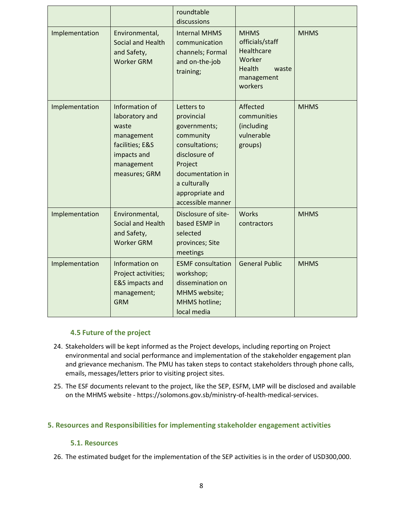|                |                                                                                                                          | roundtable<br>discussions                                                                                                                                                       |                                                                                                           |             |
|----------------|--------------------------------------------------------------------------------------------------------------------------|---------------------------------------------------------------------------------------------------------------------------------------------------------------------------------|-----------------------------------------------------------------------------------------------------------|-------------|
| Implementation | Environmental,<br>Social and Health<br>and Safety,<br><b>Worker GRM</b>                                                  | <b>Internal MHMS</b><br>communication<br>channels; Formal<br>and on-the-job<br>training;                                                                                        | <b>MHMS</b><br>officials/staff<br>Healthcare<br>Worker<br><b>Health</b><br>waste<br>management<br>workers | <b>MHMS</b> |
| Implementation | Information of<br>laboratory and<br>waste<br>management<br>facilities; E&S<br>impacts and<br>management<br>measures; GRM | Letters to<br>provincial<br>governments;<br>community<br>consultations;<br>disclosure of<br>Project<br>documentation in<br>a culturally<br>appropriate and<br>accessible manner | Affected<br>communities<br>(including<br>vulnerable<br>groups)                                            | <b>MHMS</b> |
| Implementation | Environmental,<br>Social and Health<br>and Safety,<br><b>Worker GRM</b>                                                  | Disclosure of site-<br>based ESMP in<br>selected<br>provinces; Site<br>meetings                                                                                                 | <b>Works</b><br>contractors                                                                               | <b>MHMS</b> |
| Implementation | Information on<br>Project activities;<br><b>E&amp;S</b> impacts and<br>management;<br><b>GRM</b>                         | <b>ESMF</b> consultation<br>workshop;<br>dissemination on<br>MHMS website;<br>MHMS hotline;<br>local media                                                                      | <b>General Public</b>                                                                                     | <b>MHMS</b> |

#### **4.5 Future of the project**

- 24. Stakeholders will be kept informed as the Project develops, including reporting on Project environmental and social performance and implementation of the stakeholder engagement plan and grievance mechanism. The PMU has taken steps to contact stakeholders through phone calls, emails, messages/letters prior to visiting project sites.
- 25. The ESF documents relevant to the project, like the SEP, ESFM, LMP will be disclosed and available on the MHMS website - https://solomons.gov.sb/ministry-of-health-medical-services.

### **5. Resources and Responsibilities for implementing stakeholder engagement activities**

#### **5.1. Resources**

26. The estimated budget for the implementation of the SEP activities is in the order of USD300,000.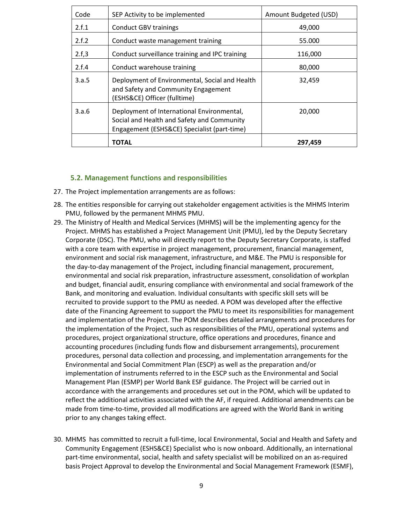| Code  | SEP Activity to be implemented                                                                                                          | Amount Budgeted (USD) |
|-------|-----------------------------------------------------------------------------------------------------------------------------------------|-----------------------|
| 2.f.1 | <b>Conduct GBV trainings</b>                                                                                                            | 49,000                |
| 2.f.2 | Conduct waste management training                                                                                                       | 55.000                |
| 2.f.3 | Conduct surveillance training and IPC training                                                                                          | 116,000               |
| 2.f.4 | Conduct warehouse training                                                                                                              | 80,000                |
| 3.a.5 | Deployment of Environmental, Social and Health<br>and Safety and Community Engagement<br>(ESHS&CE) Officer (fulltime)                   | 32,459                |
| 3.a.6 | Deployment of International Environmental,<br>Social and Health and Safety and Community<br>Engagement (ESHS&CE) Specialist (part-time) | 20,000                |
|       | <b>TOTAL</b>                                                                                                                            | 297,459               |

#### **5.2. Management functions and responsibilities**

- 27. The Project implementation arrangements are as follows:
- 28. The entities responsible for carrying out stakeholder engagement activities is the MHMS Interim PMU, followed by the permanent MHMS PMU.
- 29. The Ministry of Health and Medical Services (MHMS) will be the implementing agency for the Project. MHMS has established a Project Management Unit (PMU), led by the Deputy Secretary Corporate (DSC). The PMU, who will directly report to the Deputy Secretary Corporate, is staffed with a core team with expertise in project management, procurement, financial management, environment and social risk management, infrastructure, and M&E. The PMU is responsible for the day-to-day management of the Project, including financial management, procurement, environmental and social risk preparation, infrastructure assessment, consolidation of workplan and budget, financial audit, ensuring compliance with environmental and social framework of the Bank, and monitoring and evaluation. Individual consultants with specific skill sets will be recruited to provide support to the PMU as needed. A POM was developed after the effective date of the Financing Agreement to support the PMU to meet its responsibilities for management and implementation of the Project. The POM describes detailed arrangements and procedures for the implementation of the Project, such as responsibilities of the PMU, operational systems and procedures, project organizational structure, office operations and procedures, finance and accounting procedures (including funds flow and disbursement arrangements), procurement procedures, personal data collection and processing, and implementation arrangements for the Environmental and Social Commitment Plan (ESCP) as well as the preparation and/or implementation of instruments referred to in the ESCP such as the Environmental and Social Management Plan (ESMP) per World Bank ESF guidance. The Project will be carried out in accordance with the arrangements and procedures set out in the POM, which will be updated to reflect the additional activities associated with the AF, if required. Additional amendments can be made from time-to-time, provided all modifications are agreed with the World Bank in writing prior to any changes taking effect.
- 30. MHMS has committed to recruit a full-time, local Environmental, Social and Health and Safety and Community Engagement (ESHS&CE) Specialist who is now onboard. Additionally, an international part-time environmental, social, health and safety specialist will be mobilized on an as-required basis Project Approval to develop the Environmental and Social Management Framework (ESMF),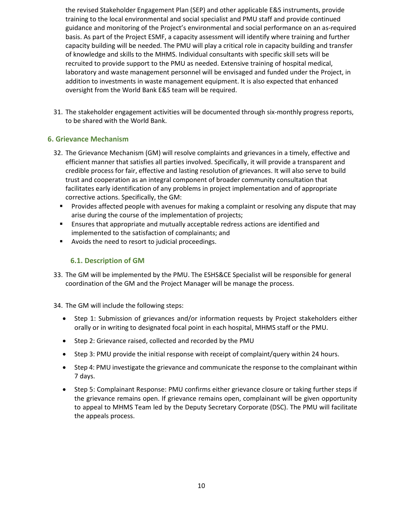the revised Stakeholder Engagement Plan (SEP) and other applicable E&S instruments, provide training to the local environmental and social specialist and PMU staff and provide continued guidance and monitoring of the Project's environmental and social performance on an as-required basis. As part of the Project ESMF, a capacity assessment will identify where training and further capacity building will be needed. The PMU will play a critical role in capacity building and transfer of knowledge and skills to the MHMS. Individual consultants with specific skill sets will be recruited to provide support to the PMU as needed. Extensive training of hospital medical, laboratory and waste management personnel will be envisaged and funded under the Project, in addition to investments in waste management equipment. It is also expected that enhanced oversight from the World Bank E&S team will be required.

31. The stakeholder engagement activities will be documented through six-monthly progress reports, to be shared with the World Bank.

# **6. Grievance Mechanism**

- 32. The Grievance Mechanism (GM) will resolve complaints and grievances in a timely, effective and efficient manner that satisfies all parties involved. Specifically, it will provide a transparent and credible process for fair, effective and lasting resolution of grievances. It will also serve to build trust and cooperation as an integral component of broader community consultation that facilitates early identification of any problems in project implementation and of appropriate corrective actions. Specifically, the GM:
	- **•** Provides affected people with avenues for making a complaint or resolving any dispute that may arise during the course of the implementation of projects;
	- **E** Ensures that appropriate and mutually acceptable redress actions are identified and implemented to the satisfaction of complainants; and
	- Avoids the need to resort to judicial proceedings.

## **6.1. Description of GM**

- 33. The GM will be implemented by the PMU. The ESHS&CE Specialist will be responsible for general coordination of the GM and the Project Manager will be manage the process.
- 34. The GM will include the following steps:
	- Step 1: Submission of grievances and/or information requests by Project stakeholders either orally or in writing to designated focal point in each hospital, MHMS staff or the PMU.
	- Step 2: Grievance raised, collected and recorded by the PMU
	- Step 3: PMU provide the initial response with receipt of complaint/query within 24 hours.
	- Step 4: PMU investigate the grievance and communicate the response to the complainant within 7 days.
	- Step 5: Complainant Response: PMU confirms either grievance closure or taking further steps if the grievance remains open. If grievance remains open, complainant will be given opportunity to appeal to MHMS Team led by the Deputy Secretary Corporate (DSC). The PMU will facilitate the appeals process.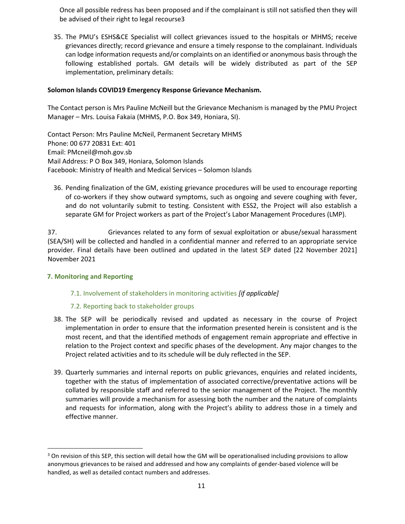Once all possible redress has been proposed and if the complainant is still not satisfied then they will be advised of their right to legal recourse3

35. The PMU's ESHS&CE Specialist will collect grievances issued to the hospitals or MHMS; receive grievances directly; record grievance and ensure a timely response to the complainant. Individuals can lodge information requests and/or complaints on an identified or anonymous basis through the following established portals. GM details will be widely distributed as part of the SEP implementation, preliminary details:

### **Solomon Islands COVID19 Emergency Response Grievance Mechanism.**

The Contact person is Mrs Pauline McNeill but the Grievance Mechanism is managed by the PMU Project Manager – Mrs. Louisa Fakaia (MHMS, P.O. Box 349, Honiara, SI).

Contact Person: Mrs Pauline McNeil, Permanent Secretary MHMS Phone: 00 677 20831 Ext: 401 Email: PMcneil@moh.gov.sb Mail Address: P O Box 349, Honiara, Solomon Islands Facebook: Ministry of Health and Medical Services – Solomon Islands

36. Pending finalization of the GM, existing grievance procedures will be used to encourage reporting of co-workers if they show outward symptoms, such as ongoing and severe coughing with fever, and do not voluntarily submit to testing. Consistent with ESS2, the Project will also establish a separate GM for Project workers as part of the Project's Labor Management Procedures (LMP).

37. Grievances related to any form of sexual exploitation or abuse/sexual harassment (SEA/SH) will be collected and handled in a confidential manner and referred to an appropriate service provider. Final details have been outlined and updated in the latest SEP dated [22 November 2021] November 2021

#### **7. Monitoring and Reporting**

#### 7.1. Involvement of stakeholders in monitoring activities *[if applicable]*

#### 7.2. Reporting back to stakeholder groups

- 38. The SEP will be periodically revised and updated as necessary in the course of Project implementation in order to ensure that the information presented herein is consistent and is the most recent, and that the identified methods of engagement remain appropriate and effective in relation to the Project context and specific phases of the development. Any major changes to the Project related activities and to its schedule will be duly reflected in the SEP.
- 39. Quarterly summaries and internal reports on public grievances, enquiries and related incidents, together with the status of implementation of associated corrective/preventative actions will be collated by responsible staff and referred to the senior management of the Project. The monthly summaries will provide a mechanism for assessing both the number and the nature of complaints and requests for information, along with the Project's ability to address those in a timely and effective manner.

 $3$  On revision of this SEP, this section will detail how the GM will be operationalised including provisions to allow anonymous grievances to be raised and addressed and how any complaints of gender-based violence will be handled, as well as detailed contact numbers and addresses.